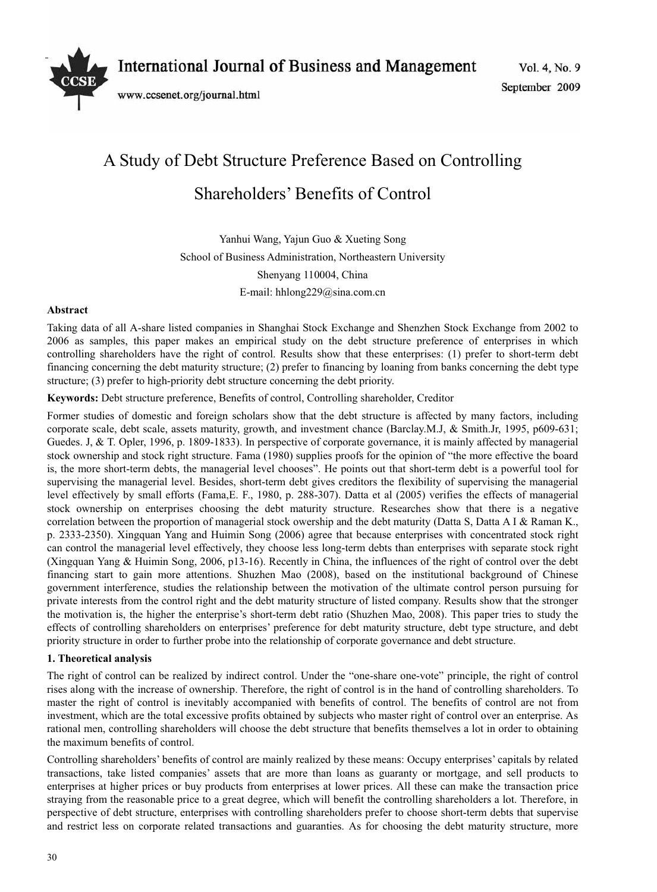

www.ccsenet.org/journal.html

# A Study of Debt Structure Preference Based on Controlling Shareholders' Benefits of Control

Yanhui Wang, Yajun Guo & Xueting Song School of Business Administration, Northeastern University Shenyang 110004, China E-mail: hhlong229@sina.com.cn

# **Abstract**

Taking data of all A-share listed companies in Shanghai Stock Exchange and Shenzhen Stock Exchange from 2002 to 2006 as samples, this paper makes an empirical study on the debt structure preference of enterprises in which controlling shareholders have the right of control. Results show that these enterprises: (1) prefer to short-term debt financing concerning the debt maturity structure; (2) prefer to financing by loaning from banks concerning the debt type structure; (3) prefer to high-priority debt structure concerning the debt priority.

**Keywords:** Debt structure preference, Benefits of control, Controlling shareholder, Creditor

Former studies of domestic and foreign scholars show that the debt structure is affected by many factors, including corporate scale, debt scale, assets maturity, growth, and investment chance (Barclay.M.J, & Smith.Jr, 1995, p609-631; Guedes. J, & T. Opler, 1996, p. 1809-1833). In perspective of corporate governance, it is mainly affected by managerial stock ownership and stock right structure. Fama (1980) supplies proofs for the opinion of "the more effective the board is, the more short-term debts, the managerial level chooses". He points out that short-term debt is a powerful tool for supervising the managerial level. Besides, short-term debt gives creditors the flexibility of supervising the managerial level effectively by small efforts (Fama,E. F., 1980, p. 288-307). Datta et al (2005) verifies the effects of managerial stock ownership on enterprises choosing the debt maturity structure. Researches show that there is a negative correlation between the proportion of managerial stock owership and the debt maturity (Datta S, Datta A I & Raman K., p. 2333-2350). Xingquan Yang and Huimin Song (2006) agree that because enterprises with concentrated stock right can control the managerial level effectively, they choose less long-term debts than enterprises with separate stock right (Xingquan Yang & Huimin Song, 2006, p13-16). Recently in China, the influences of the right of control over the debt financing start to gain more attentions. Shuzhen Mao (2008), based on the institutional background of Chinese government interference, studies the relationship between the motivation of the ultimate control person pursuing for private interests from the control right and the debt maturity structure of listed company. Results show that the stronger the motivation is, the higher the enterprise's short-term debt ratio (Shuzhen Mao, 2008). This paper tries to study the effects of controlling shareholders on enterprises' preference for debt maturity structure, debt type structure, and debt priority structure in order to further probe into the relationship of corporate governance and debt structure.

# **1. Theoretical analysis**

The right of control can be realized by indirect control. Under the "one-share one-vote" principle, the right of control rises along with the increase of ownership. Therefore, the right of control is in the hand of controlling shareholders. To master the right of control is inevitably accompanied with benefits of control. The benefits of control are not from investment, which are the total excessive profits obtained by subjects who master right of control over an enterprise. As rational men, controlling shareholders will choose the debt structure that benefits themselves a lot in order to obtaining the maximum benefits of control.

Controlling shareholders' benefits of control are mainly realized by these means: Occupy enterprises' capitals by related transactions, take listed companies' assets that are more than loans as guaranty or mortgage, and sell products to enterprises at higher prices or buy products from enterprises at lower prices. All these can make the transaction price straying from the reasonable price to a great degree, which will benefit the controlling shareholders a lot. Therefore, in perspective of debt structure, enterprises with controlling shareholders prefer to choose short-term debts that supervise and restrict less on corporate related transactions and guaranties. As for choosing the debt maturity structure, more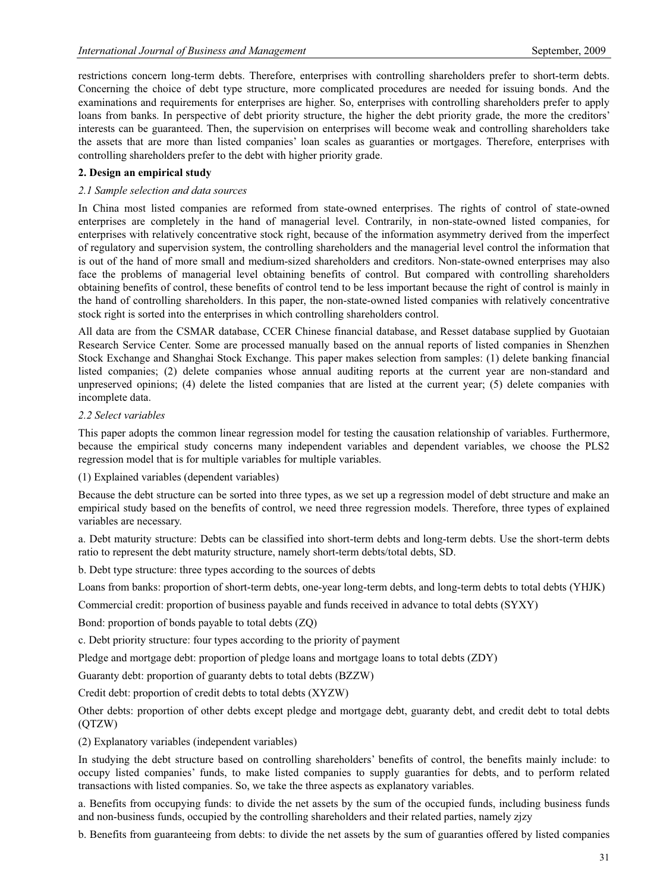restrictions concern long-term debts. Therefore, enterprises with controlling shareholders prefer to short-term debts. Concerning the choice of debt type structure, more complicated procedures are needed for issuing bonds. And the examinations and requirements for enterprises are higher. So, enterprises with controlling shareholders prefer to apply loans from banks. In perspective of debt priority structure, the higher the debt priority grade, the more the creditors' interests can be guaranteed. Then, the supervision on enterprises will become weak and controlling shareholders take the assets that are more than listed companies' loan scales as guaranties or mortgages. Therefore, enterprises with controlling shareholders prefer to the debt with higher priority grade.

#### **2. Design an empirical study**

#### *2.1 Sample selection and data sources*

In China most listed companies are reformed from state-owned enterprises. The rights of control of state-owned enterprises are completely in the hand of managerial level. Contrarily, in non-state-owned listed companies, for enterprises with relatively concentrative stock right, because of the information asymmetry derived from the imperfect of regulatory and supervision system, the controlling shareholders and the managerial level control the information that is out of the hand of more small and medium-sized shareholders and creditors. Non-state-owned enterprises may also face the problems of managerial level obtaining benefits of control. But compared with controlling shareholders obtaining benefits of control, these benefits of control tend to be less important because the right of control is mainly in the hand of controlling shareholders. In this paper, the non-state-owned listed companies with relatively concentrative stock right is sorted into the enterprises in which controlling shareholders control.

All data are from the CSMAR database, CCER Chinese financial database, and Resset database supplied by Guotaian Research Service Center. Some are processed manually based on the annual reports of listed companies in Shenzhen Stock Exchange and Shanghai Stock Exchange. This paper makes selection from samples: (1) delete banking financial listed companies; (2) delete companies whose annual auditing reports at the current year are non-standard and unpreserved opinions; (4) delete the listed companies that are listed at the current year; (5) delete companies with incomplete data.

#### *2.2 Select variables*

This paper adopts the common linear regression model for testing the causation relationship of variables. Furthermore, because the empirical study concerns many independent variables and dependent variables, we choose the PLS2 regression model that is for multiple variables for multiple variables.

(1) Explained variables (dependent variables)

Because the debt structure can be sorted into three types, as we set up a regression model of debt structure and make an empirical study based on the benefits of control, we need three regression models. Therefore, three types of explained variables are necessary.

a. Debt maturity structure: Debts can be classified into short-term debts and long-term debts. Use the short-term debts ratio to represent the debt maturity structure, namely short-term debts/total debts, SD.

b. Debt type structure: three types according to the sources of debts

Loans from banks: proportion of short-term debts, one-year long-term debts, and long-term debts to total debts (YHJK)

Commercial credit: proportion of business payable and funds received in advance to total debts (SYXY)

Bond: proportion of bonds payable to total debts (ZQ)

c. Debt priority structure: four types according to the priority of payment

Pledge and mortgage debt: proportion of pledge loans and mortgage loans to total debts (ZDY)

Guaranty debt: proportion of guaranty debts to total debts (BZZW)

Credit debt: proportion of credit debts to total debts (XYZW)

Other debts: proportion of other debts except pledge and mortgage debt, guaranty debt, and credit debt to total debts (QTZW)

(2) Explanatory variables (independent variables)

In studying the debt structure based on controlling shareholders' benefits of control, the benefits mainly include: to occupy listed companies' funds, to make listed companies to supply guaranties for debts, and to perform related transactions with listed companies. So, we take the three aspects as explanatory variables.

a. Benefits from occupying funds: to divide the net assets by the sum of the occupied funds, including business funds and non-business funds, occupied by the controlling shareholders and their related parties, namely zjzy

b. Benefits from guaranteeing from debts: to divide the net assets by the sum of guaranties offered by listed companies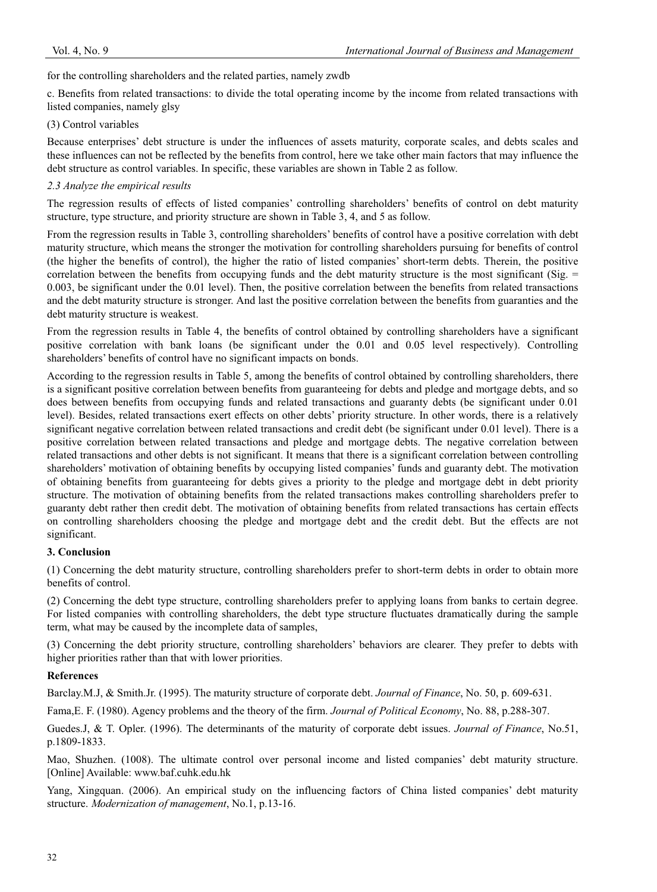# for the controlling shareholders and the related parties, namely zwdb

c. Benefits from related transactions: to divide the total operating income by the income from related transactions with listed companies, namely glsy

# (3) Control variables

Because enterprises' debt structure is under the influences of assets maturity, corporate scales, and debts scales and these influences can not be reflected by the benefits from control, here we take other main factors that may influence the debt structure as control variables. In specific, these variables are shown in Table 2 as follow.

# *2.3 Analyze the empirical results*

The regression results of effects of listed companies' controlling shareholders' benefits of control on debt maturity structure, type structure, and priority structure are shown in Table 3, 4, and 5 as follow.

From the regression results in Table 3, controlling shareholders' benefits of control have a positive correlation with debt maturity structure, which means the stronger the motivation for controlling shareholders pursuing for benefits of control (the higher the benefits of control), the higher the ratio of listed companies' short-term debts. Therein, the positive correlation between the benefits from occupying funds and the debt maturity structure is the most significant (Sig. = 0.003, be significant under the 0.01 level). Then, the positive correlation between the benefits from related transactions and the debt maturity structure is stronger. And last the positive correlation between the benefits from guaranties and the debt maturity structure is weakest.

From the regression results in Table 4, the benefits of control obtained by controlling shareholders have a significant positive correlation with bank loans (be significant under the 0.01 and 0.05 level respectively). Controlling shareholders' benefits of control have no significant impacts on bonds.

According to the regression results in Table 5, among the benefits of control obtained by controlling shareholders, there is a significant positive correlation between benefits from guaranteeing for debts and pledge and mortgage debts, and so does between benefits from occupying funds and related transactions and guaranty debts (be significant under 0.01 level). Besides, related transactions exert effects on other debts' priority structure. In other words, there is a relatively significant negative correlation between related transactions and credit debt (be significant under 0.01 level). There is a positive correlation between related transactions and pledge and mortgage debts. The negative correlation between related transactions and other debts is not significant. It means that there is a significant correlation between controlling shareholders' motivation of obtaining benefits by occupying listed companies' funds and guaranty debt. The motivation of obtaining benefits from guaranteeing for debts gives a priority to the pledge and mortgage debt in debt priority structure. The motivation of obtaining benefits from the related transactions makes controlling shareholders prefer to guaranty debt rather then credit debt. The motivation of obtaining benefits from related transactions has certain effects on controlling shareholders choosing the pledge and mortgage debt and the credit debt. But the effects are not significant.

# **3. Conclusion**

(1) Concerning the debt maturity structure, controlling shareholders prefer to short-term debts in order to obtain more benefits of control.

(2) Concerning the debt type structure, controlling shareholders prefer to applying loans from banks to certain degree. For listed companies with controlling shareholders, the debt type structure fluctuates dramatically during the sample term, what may be caused by the incomplete data of samples,

(3) Concerning the debt priority structure, controlling shareholders' behaviors are clearer. They prefer to debts with higher priorities rather than that with lower priorities.

# **References**

Barclay.M.J, & Smith.Jr. (1995). The maturity structure of corporate debt. *Journal of Finance*, No. 50, p. 609-631.

Fama,E. F. (1980). Agency problems and the theory of the firm. *Journal of Political Economy*, No. 88, p.288-307.

Guedes.J, & T. Opler. (1996). The determinants of the maturity of corporate debt issues. *Journal of Finance*, No.51, p.1809-1833.

Mao, Shuzhen. (1008). The ultimate control over personal income and listed companies' debt maturity structure. [Online] Available: www.baf.cuhk.edu.hk

Yang, Xingquan. (2006). An empirical study on the influencing factors of China listed companies' debt maturity structure. *Modernization of management*, No.1, p.13-16.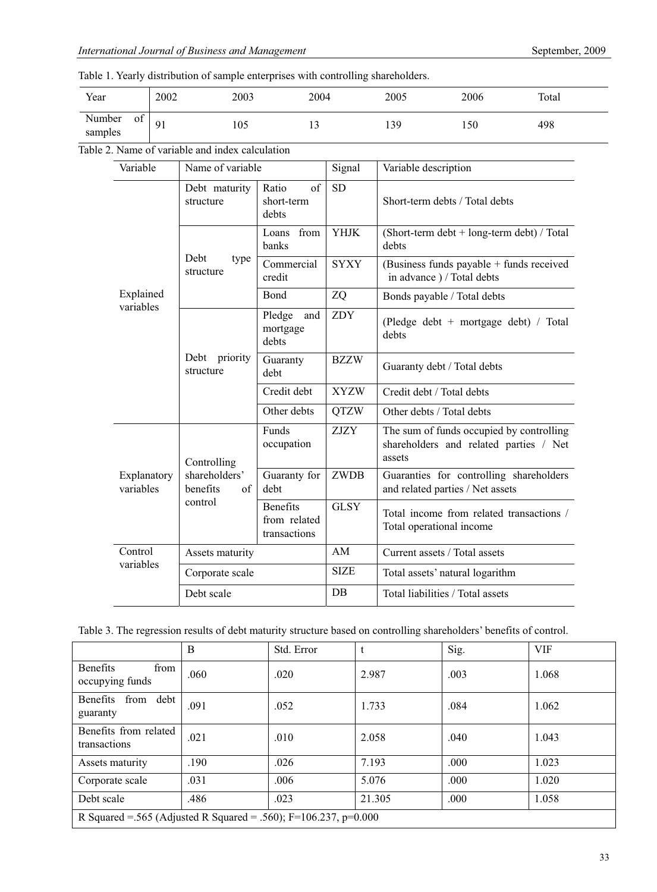# Table 1. Yearly distribution of sample enterprises with controlling shareholders.

| Year                    | 2002                | 2003 | 2004 | 2005 | 2006 | Total |
|-------------------------|---------------------|------|------|------|------|-------|
| Number<br>of<br>samples | Q <sub>1</sub><br>╯ | 105  |      | 139  | 150  | 498   |

Table 2. Name of variable and index calculation

| Variable                 | Name of variable                       |                                                 | Signal      | Variable description                                                                         |  |  |
|--------------------------|----------------------------------------|-------------------------------------------------|-------------|----------------------------------------------------------------------------------------------|--|--|
|                          | Debt maturity<br>structure             | $\alpha$ f<br>Ratio<br>short-term<br>debts      | <b>SD</b>   | Short-term debts / Total debts                                                               |  |  |
|                          |                                        | from<br>Loans<br>banks                          | <b>YHJK</b> | (Short-term debt + long-term debt) / Total<br>debts                                          |  |  |
|                          | Debt<br>type<br>structure              | Commercial<br>credit                            | <b>SYXY</b> | (Business funds payable + funds received<br>in advance) / Total debts                        |  |  |
| Explained                |                                        | Bond                                            | ZQ          | Bonds payable / Total debts                                                                  |  |  |
| variables                |                                        | Pledge<br>and<br>mortgage<br>debts              | <b>ZDY</b>  | (Pledge debt + mortgage debt) / Total<br>debts                                               |  |  |
|                          | Debt priority<br>structure             | Guaranty<br>debt                                | <b>BZZW</b> | Guaranty debt / Total debts                                                                  |  |  |
|                          |                                        | Credit debt                                     | <b>XYZW</b> | Credit debt / Total debts                                                                    |  |  |
|                          |                                        | Other debts                                     | <b>QTZW</b> | Other debts / Total debts                                                                    |  |  |
| Explanatory<br>variables | Controlling                            | Funds<br>occupation                             | <b>ZJZY</b> | The sum of funds occupied by controlling<br>shareholders and related parties / Net<br>assets |  |  |
|                          | shareholders'<br><b>benefits</b><br>of | Guaranty for<br>debt                            | <b>ZWDB</b> | Guaranties for controlling shareholders<br>and related parties / Net assets                  |  |  |
|                          | control                                | <b>Benefits</b><br>from related<br>transactions | <b>GLSY</b> | Total income from related transactions /<br>Total operational income                         |  |  |
| Control<br>variables     | Assets maturity                        |                                                 | AM          | Current assets / Total assets                                                                |  |  |
|                          | Corporate scale                        |                                                 | <b>SIZE</b> | Total assets' natural logarithm                                                              |  |  |
|                          | Debt scale                             |                                                 | <b>DB</b>   | Total liabilities / Total assets                                                             |  |  |

|  | Table 3. The regression results of debt maturity structure based on controlling shareholders' benefits of control. |  |
|--|--------------------------------------------------------------------------------------------------------------------|--|
|  |                                                                                                                    |  |

|                                                                       | B    | Std. Error |        | Sig. | <b>VIF</b> |  |  |
|-----------------------------------------------------------------------|------|------------|--------|------|------------|--|--|
| <b>Benefits</b><br>from<br>occupying funds                            | .060 | .020       | 2.987  | .003 | 1.068      |  |  |
| Benefits from debt<br>guaranty                                        | .091 | .052       | 1.733  | .084 | 1.062      |  |  |
| Benefits from related<br>transactions                                 | .021 | .010       | 2.058  | .040 | 1.043      |  |  |
| Assets maturity                                                       | .190 | .026       | 7.193  | .000 | 1.023      |  |  |
| Corporate scale                                                       | .031 | .006       | 5.076  | .000 | 1.020      |  |  |
| Debt scale                                                            | .486 | .023       | 21.305 | .000 | 1.058      |  |  |
| R Squared = $.565$ (Adjusted R Squared = $.560$ ); F=106.237, p=0.000 |      |            |        |      |            |  |  |